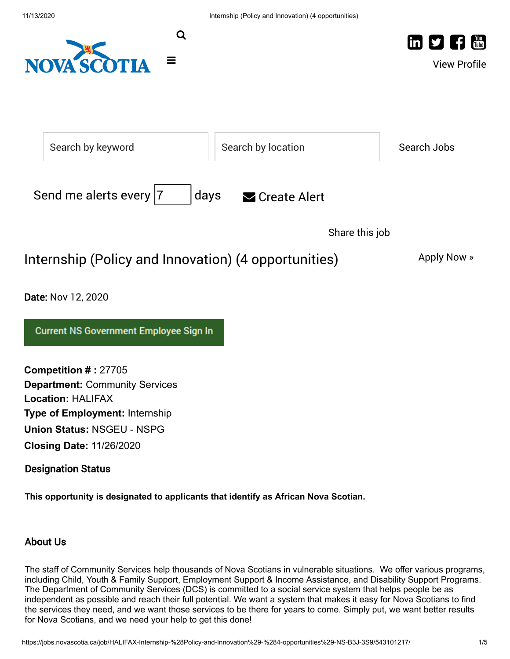

Designation Status

**This opportunity is designated to applicants that identify as African Nova Scotian.**

# About Us

The staff of Community Services help thousands of Nova Scotians in vulnerable situations. We offer various programs, including Child, Youth & Family Support, Employment Support & Income Assistance, and Disability Support Programs. The Department of Community Services (DCS) is committed to a social service system that helps people be as independent as possible and reach their full potential. We want a system that makes it easy for Nova Scotians to find the services they need, and we want those services to be there for years to come. Simply put, we want better results for Nova Scotians, and we need your help to get this done!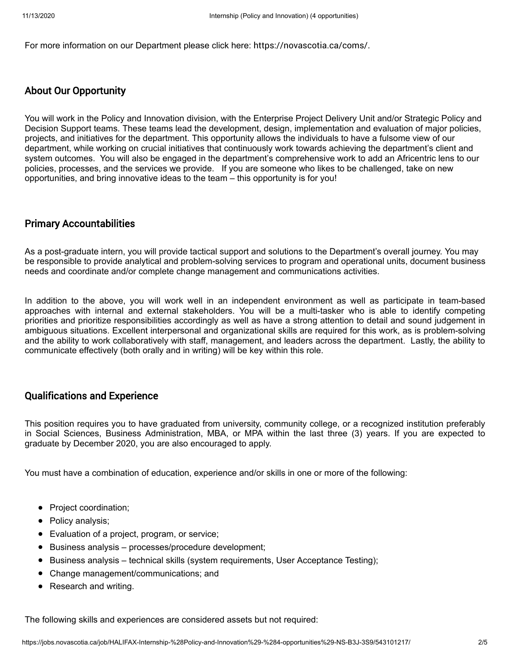For more information on our Department please click here: <https://novascotia.ca/coms/>.

#### About Our Opportunity

You will work in the Policy and Innovation division, with the Enterprise Project Delivery Unit and/or Strategic Policy and Decision Support teams. These teams lead the development, design, implementation and evaluation of major policies, projects, and initiatives for the department. This opportunity allows the individuals to have a fulsome view of our department, while working on crucial initiatives that continuously work towards achieving the department's client and system outcomes. You will also be engaged in the department's comprehensive work to add an Africentric lens to our policies, processes, and the services we provide. If you are someone who likes to be challenged, take on new opportunities, and bring innovative ideas to the team – this opportunity is for you!

## Primary Accountabilities

As a post-graduate intern, you will provide tactical support and solutions to the Department's overall journey. You may be responsible to provide analytical and problem-solving services to program and operational units, document business needs and coordinate and/or complete change management and communications activities.

In addition to the above, you will work well in an independent environment as well as participate in team-based approaches with internal and external stakeholders. You will be a multi-tasker who is able to identify competing priorities and prioritize responsibilities accordingly as well as have a strong attention to detail and sound judgement in ambiguous situations. Excellent interpersonal and organizational skills are required for this work, as is problem-solving and the ability to work collaboratively with staff, management, and leaders across the department. Lastly, the ability to communicate effectively (both orally and in writing) will be key within this role.

## Qualifications and Experience

This position requires you to have graduated from university, community college, or a recognized institution preferably in Social Sciences, Business Administration, MBA, or MPA within the last three (3) years. If you are expected to graduate by December 2020, you are also encouraged to apply.

You must have a combination of education, experience and/or skills in one or more of the following:

- Project coordination;
- Policy analysis;
- Evaluation of a project, program, or service;
- Business analysis processes/procedure development;
- $\bullet$ Business analysis – technical skills (system requirements, User Acceptance Testing);
- Change management/communications; and
- Research and writing.

The following skills and experiences are considered assets but not required: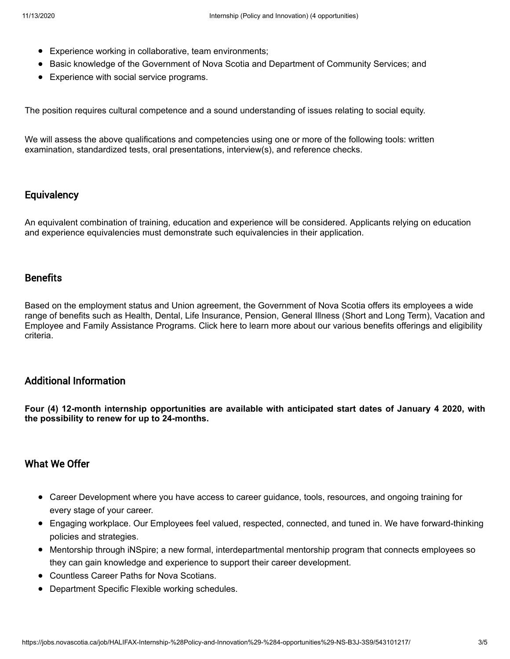- Experience working in collaborative, team environments;
- Basic knowledge of the Government of Nova Scotia and Department of Community Services; and
- Experience with social service programs.

The position requires cultural competence and a sound understanding of issues relating to social equity.

We will assess the above qualifications and competencies using one or more of the following tools: written examination, standardized tests, oral presentations, interview(s), and reference checks.

#### **Equivalency**

An equivalent combination of training, education and experience will be considered. Applicants relying on education and experience equivalencies must demonstrate such equivalencies in their application.

#### **Benefits**

Based on the employment status and Union agreement, the Government of Nova Scotia offers its employees a wide range of benefits such as Health, Dental, Life Insurance, Pension, General Illness (Short and Long Term), Vacation and Employee and Family Assistance Programs. Click [here](https://beta.novascotia.ca/documents/benefits-government-employees) to learn more about our various benefits offerings and eligibility criteria.

#### Additional Information

**Four (4) 12-month internship opportunities are available with anticipated start dates of January 4 2020, with the possibility to renew for up to 24-months.**

# What We Offer

- Career Development where you have access to career guidance, tools, resources, and ongoing training for every stage of your career.
- Engaging workplace. Our Employees feel valued, respected, connected, and tuned in. We have forward-thinking policies and strategies.
- Mentorship through iNSpire; a new formal, interdepartmental mentorship program that connects employees so they can gain knowledge and experience to support their career development.
- Countless Career Paths for Nova Scotians.
- Department Specific Flexible working schedules.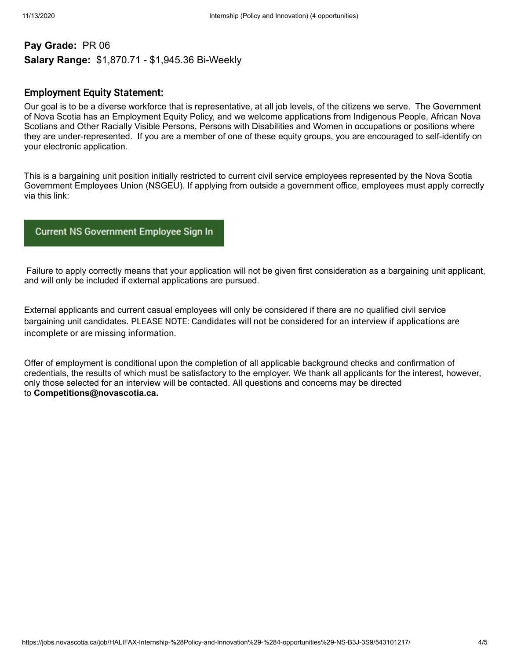# **Pay Grade:** PR 06 **Salary Range:** \$1,870.71 - \$1,945.36 Bi-Weekly

#### Employment Equity Statement:

Our goal is to be a diverse workforce that is representative, at all job levels, of the citizens we serve. The Government of Nova Scotia has an Employment Equity Policy, and we welcome applications from Indigenous People, African Nova Scotians and Other Racially Visible Persons, Persons with Disabilities and Women in occupations or positions where they are under-represented. If you are a member of one of these equity groups, you are encouraged to self-identify on your electronic application.

This is a bargaining unit position initially restricted to current civil service employees represented by the Nova Scotia Government Employees Union (NSGEU). If applying from outside a government office, employees must apply correctly via this link:

#### **Current NS Government Employee Sign In**

 Failure to apply correctly means that your application will not be given first consideration as a bargaining unit applicant, and will only be included if external applications are pursued.

External applicants and current casual employees will only be considered if there are no qualified civil service bargaining unit candidates. PLEASE NOTE: Candidates will not be considered for an interview if applications are incomplete or are missing information.

Offer of employment is conditional upon the completion of all applicable background checks and confirmation of credentials, the results of which must be satisfactory to the employer. We thank all applicants for the interest, however, only those selected for an interview will be contacted. All questions and concerns may be directed to **Competitions@novascotia.ca.**